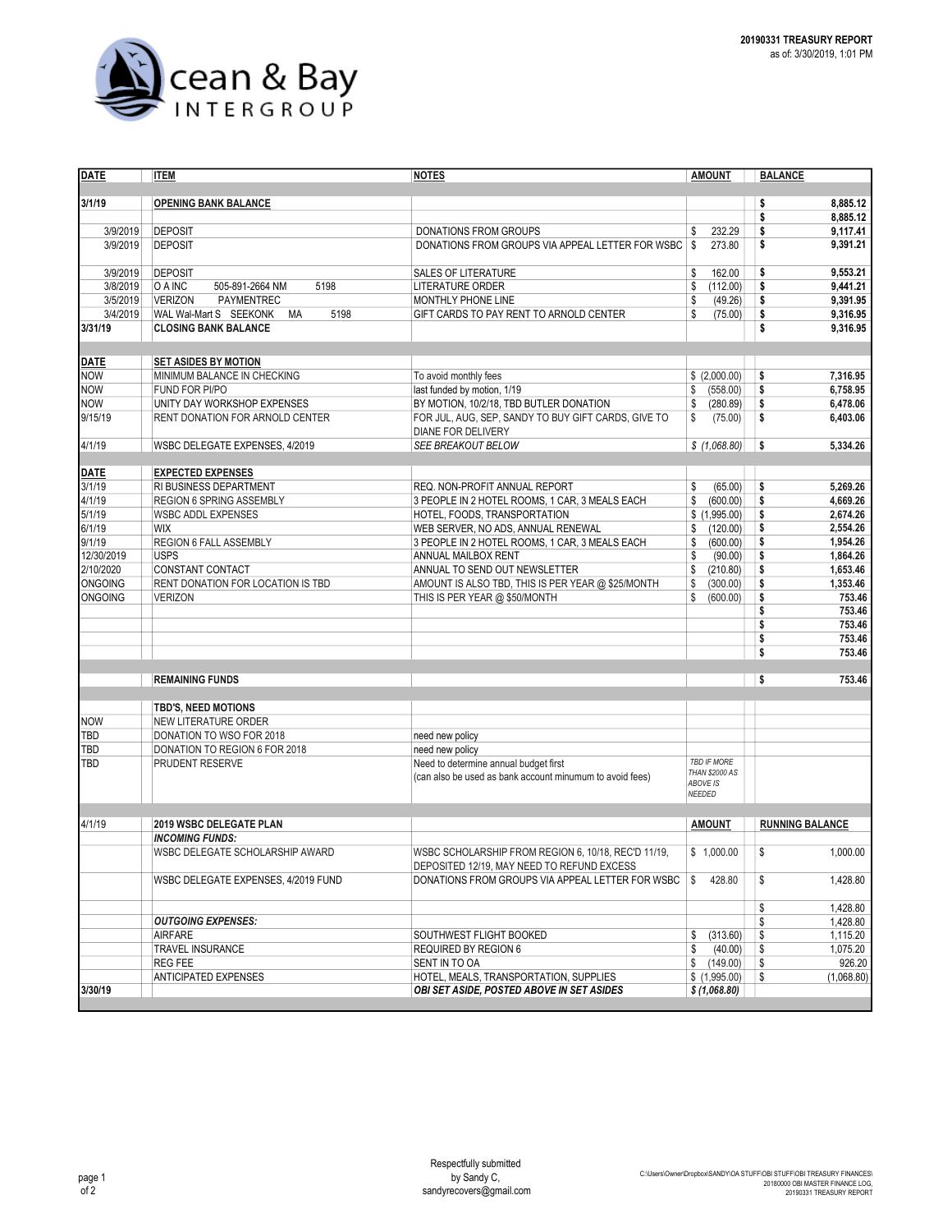

| <b>DATE</b>    | <b>ITEM</b>                          | <b>NOTES</b>                                             | <b>AMOUNT</b>         | <b>BALANCE</b>         |
|----------------|--------------------------------------|----------------------------------------------------------|-----------------------|------------------------|
|                |                                      |                                                          |                       |                        |
| 3/1/19         | <b>OPENING BANK BALANCE</b>          |                                                          |                       | 8,885.12<br>\$         |
|                |                                      |                                                          |                       | \$<br>8,885.12         |
| 3/9/2019       | <b>DEPOSIT</b>                       | <b>DONATIONS FROM GROUPS</b>                             | \$<br>232.29          | 9,117.41<br>\$         |
| 3/9/2019       | <b>DEPOSIT</b>                       | DONATIONS FROM GROUPS VIA APPEAL LETTER FOR WSBC         | \$<br>273.80          | \$<br>9,391.21         |
|                |                                      |                                                          |                       |                        |
|                |                                      |                                                          |                       |                        |
| 3/9/2019       | <b>DEPOSIT</b>                       | SALES OF LITERATURE                                      | \$<br>162.00          | 9,553.21<br>\$         |
| 3/8/2019       | 5198<br>O A INC<br>505-891-2664 NM   | <b>LITERATURE ORDER</b>                                  | (112.00)<br>\$        | 9,441.21<br>\$         |
| 3/5/2019       | <b>VERIZON</b><br><b>PAYMENTREC</b>  | MONTHLY PHONE LINE                                       | \$<br>(49.26)         | 9,391.95<br>\$         |
| 3/4/2019       | 5198<br>WAL Wal-Mart S SEEKONK<br>МA | GIFT CARDS TO PAY RENT TO ARNOLD CENTER                  | \$<br>(75.00)         | 9,316.95<br>\$         |
| 3/31/19        | <b>CLOSING BANK BALANCE</b>          |                                                          |                       | \$<br>9,316.95         |
|                |                                      |                                                          |                       |                        |
| <b>DATE</b>    | <b>SET ASIDES BY MOTION</b>          |                                                          |                       |                        |
| <b>NOW</b>     | MINIMUM BALANCE IN CHECKING          | To avoid monthly fees                                    | \$ (2,000.00)         | \$<br>7,316.95         |
| <b>NOW</b>     | FUND FOR PI/PO                       | last funded by motion, 1/19                              | \$<br>(558.00)        | \$<br>6,758.95         |
|                |                                      |                                                          |                       |                        |
| <b>NOW</b>     | UNITY DAY WORKSHOP EXPENSES          | BY MOTION, 10/2/18, TBD BUTLER DONATION                  | \$<br>(280.89)        | \$<br>6,478.06         |
| 9/15/19        | RENT DONATION FOR ARNOLD CENTER      | FOR JUL, AUG, SEP, SANDY TO BUY GIFT CARDS, GIVE TO      | \$<br>(75.00)         | \$<br>6,403.06         |
|                |                                      | DIANE FOR DELIVERY                                       |                       |                        |
| 4/1/19         | WSBC DELEGATE EXPENSES, 4/2019       | <b>SEE BREAKOUT BELOW</b>                                | \$(1,068.80)          | 5,334.26<br>\$         |
|                |                                      |                                                          |                       |                        |
| <b>DATE</b>    | <b>EXPECTED EXPENSES</b>             |                                                          |                       |                        |
| 3/1/19         | RI BUSINESS DEPARTMENT               | REQ. NON-PROFIT ANNUAL REPORT                            | \$<br>(65.00)         | 5,269.26<br>\$         |
| 4/1/19         | REGION 6 SPRING ASSEMBLY             | 3 PEOPLE IN 2 HOTEL ROOMS, 1 CAR, 3 MEALS EACH           | \$<br>(600.00)        | \$<br>4.669.26         |
| 5/1/19         | <b>WSBC ADDL EXPENSES</b>            | HOTEL, FOODS, TRANSPORTATION                             | \$(1,995.00)          | \$<br>2,674.26         |
| 6/1/19         | <b>WIX</b>                           | WEB SERVER, NO ADS, ANNUAL RENEWAL                       | \$<br>(120.00)        | \$<br>2,554.26         |
| 9/1/19         | REGION 6 FALL ASSEMBLY               | 3 PEOPLE IN 2 HOTEL ROOMS, 1 CAR, 3 MEALS EACH           | \$<br>(600.00)        | \$<br>1,954.26         |
| 12/30/2019     | <b>USPS</b>                          | ANNUAL MAILBOX RENT                                      | \$<br>(90.00)         | \$<br>1,864.26         |
| 2/10/2020      | CONSTANT CONTACT                     | ANNUAL TO SEND OUT NEWSLETTER                            | \$<br>(210.80)        | \$<br>1,653.46         |
| <b>ONGOING</b> | RENT DONATION FOR LOCATION IS TBD    | AMOUNT IS ALSO TBD, THIS IS PER YEAR @ \$25/MONTH        | \$<br>(300.00)        | \$<br>1,353.46         |
| <b>ONGOING</b> | <b>VERIZON</b>                       | THIS IS PER YEAR @ \$50/MONTH                            | \$<br>(600.00)        | \$<br>753.46           |
|                |                                      |                                                          |                       | \$<br>753.46           |
|                |                                      |                                                          |                       | 753.46                 |
|                |                                      |                                                          |                       | \$                     |
|                |                                      |                                                          |                       | \$<br>753.46           |
|                |                                      |                                                          |                       | \$<br>753.46           |
|                |                                      |                                                          |                       |                        |
|                | <b>REMAINING FUNDS</b>               |                                                          |                       | \$<br>753.46           |
|                |                                      |                                                          |                       |                        |
|                | <b>TBD'S, NEED MOTIONS</b>           |                                                          |                       |                        |
| <b>NOW</b>     | <b>NEW LITERATURE ORDER</b>          |                                                          |                       |                        |
| TBD            | DONATION TO WSO FOR 2018             | need new policy                                          |                       |                        |
| TBD            | DONATION TO REGION 6 FOR 2018        | need new policy                                          |                       |                        |
| TBD            | PRUDENT RESERVE                      | Need to determine annual budget first                    | TBD IF MORE           |                        |
|                |                                      | (can also be used as bank account minumum to avoid fees) | <b>THAN \$2000 AS</b> |                        |
|                |                                      |                                                          | ABOVE IS<br>NEEDED    |                        |
|                |                                      |                                                          |                       |                        |
|                |                                      |                                                          | <b>AMOUNT</b>         |                        |
| 4/1/19         | <b>2019 WSBC DELEGATE PLAN</b>       |                                                          |                       | <b>RUNNING BALANCE</b> |
|                | <b>INCOMING FUNDS:</b>               |                                                          |                       |                        |
|                | WSBC DELEGATE SCHOLARSHIP AWARD      | WSBC SCHOLARSHIP FROM REGION 6, 10/18, REC'D 11/19,      | \$1,000.00            | \$<br>1,000.00         |
|                |                                      | DEPOSITED 12/19, MAY NEED TO REFUND EXCESS               |                       |                        |
|                | WSBC DELEGATE EXPENSES, 4/2019 FUND  | DONATIONS FROM GROUPS VIA APPEAL LETTER FOR WSBC         | \$<br>428.80          | \$<br>1,428.80         |
|                |                                      |                                                          |                       |                        |
|                |                                      |                                                          |                       | \$<br>1,428.80         |
|                | <b>OUTGOING EXPENSES:</b>            |                                                          |                       | \$<br>1,428.80         |
|                | <b>AIRFARE</b>                       | SOUTHWEST FLIGHT BOOKED                                  | \$<br>(313.60)        | \$<br>1,115.20         |
|                | TRAVEL INSURANCE                     | REQUIRED BY REGION 6                                     | (40.00)<br>\$         | \$<br>1,075.20         |
|                | <b>REG FEE</b>                       | SENT IN TO OA                                            | \$<br>(149.00)        | \$<br>926.20           |
|                | <b>ANTICIPATED EXPENSES</b>          | HOTEL, MEALS, TRANSPORTATION, SUPPLIES                   | \$ (1,995.00)         | \$<br>(1,068.80)       |
| 3/30/19        |                                      | <b>OBI SET ASIDE, POSTED ABOVE IN SET ASIDES</b>         | \$ (1,068.80)         |                        |
|                |                                      |                                                          |                       |                        |